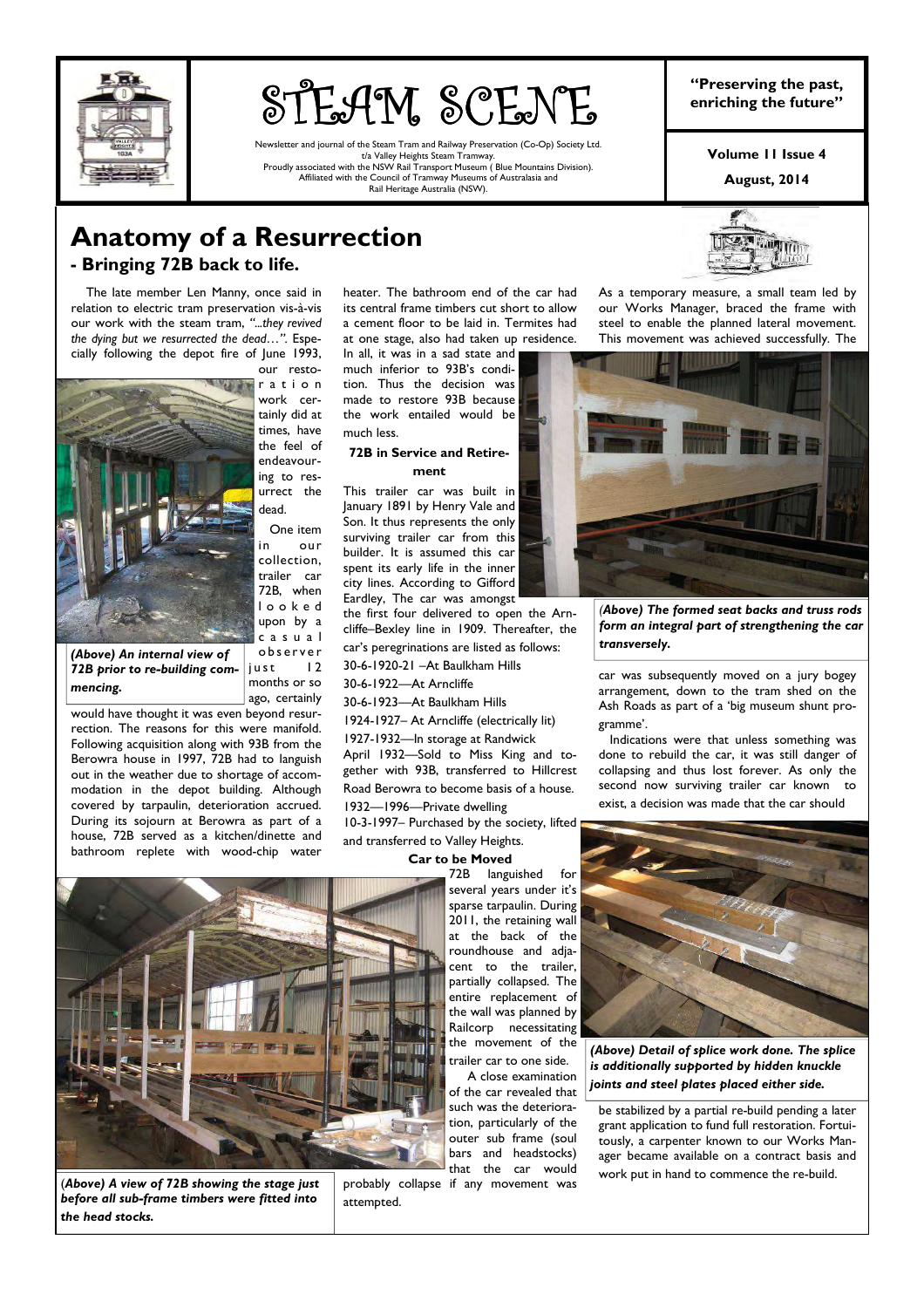

# **STEAM SCENE** "Preserving the past,<br>enriching the future"

Newsletter and journal of the Steam Tram and Railway Preservation (Co-Op) Society Ltd. t/a Valley Heights Steam Tramway. Proudly associated with the NSW Rail Transport Museum ( Blue Mountains Division). Affiliated with the Council of Tramway Museums of Australasia and Rail Heritage Australia (NSW).

**"Preserving the past,** 

**Volume 11 Issue 4** 

**August, 2014** 

## **Anatomy of a Resurrection**

## **- Bringing 72B back to life.**

 The late member Len Manny, once said in relation to electric tram preservation vis-à-vis our work with the steam tram, *"...they revived the dying but we resurrected the dead…".* Especially following the depot fire of June 1993,



our restor a t i o n work certainly did at times, have the feel of endeavouring to resurrect the dead.

 One item in our collection, trailer car 72B, when l o o k e d upon by a c a s u a l

*(Above) An internal view of 72B prior to re-building commencing.* 

o b s e r v e r  $i$ ust 12 months or so ago, certainly

would have thought it was even beyond resurrection. The reasons for this were manifold. Following acquisition along with 93B from the Berowra house in 1997, 72B had to languish out in the weather due to shortage of accommodation in the depot building. Although covered by tarpaulin, deterioration accrued. During its sojourn at Berowra as part of a house, 72B served as a kitchen/dinette and bathroom replete with wood-chip water

heater. The bathroom end of the car had its central frame timbers cut short to allow a cement floor to be laid in. Termites had at one stage, also had taken up residence. In all, it was in a sad state and

much inferior to 93B's condition. Thus the decision was made to restore 93B because the work entailed would be much less.

#### **72B in Service and Retirement**

This trailer car was built in January 1891 by Henry Vale and Son. It thus represents the only surviving trailer car from this builder. It is assumed this car spent its early life in the inner city lines. According to Gifford Eardley, The car was amongst

the first four delivered to open the Arncliffe–Bexley line in 1909. Thereafter, the

car's peregrinations are listed as follows: 30-6-1920-21 –At Baulkham Hills

30-6-1922—At Arncliffe

30-6-1923—At Baulkham Hills

1924-1927– At Arncliffe (electrically lit)

1927-1932—In storage at Randwick April 1932—Sold to Miss King and together with 93B, transferred to Hillcrest Road Berowra to become basis of a house. 1932—1996—Private dwelling

10-3-1997– Purchased by the society, lifted and transferred to Valley Heights.

#### **Car to be Moved**

72B languished for several years under it's sparse tarpaulin. During 2011, the retaining wall at the back of the roundhouse and adjacent to the trailer, partially collapsed. The entire replacement of the wall was planned by Railcorp necessitating the movement of the

trailer car to one side. A close examination of the car revealed that such was the deterioration, particularly of the outer sub frame (soul bars and headstocks) that the car would

As a temporary measure, a small team led by our Works Manager, braced the frame with steel to enable the planned lateral movement. This movement was achieved successfully. The



*(Above) The formed seat backs and truss rods form an integral part of strengthening the car transversely.* 

car was subsequently moved on a jury bogey arrangement, down to the tram shed on the Ash Roads as part of a 'big museum shunt programme'.

 Indications were that unless something was done to rebuild the car, it was still danger of collapsing and thus lost forever. As only the second now surviving trailer car known to exist, a decision was made that the car should



(*Above) A view of 72B showing the stage just before all sub-frame timbers were fitted into the head stocks.* 

probably collapse if any movement was attempted.



*(Above) Detail of splice work done. The splice is additionally supported by hidden knuckle joints and steel plates placed either side.* 

be stabilized by a partial re-build pending a later grant application to fund full restoration. Fortuitously, a carpenter known to our Works Manager became available on a contract basis and work put in hand to commence the re-build.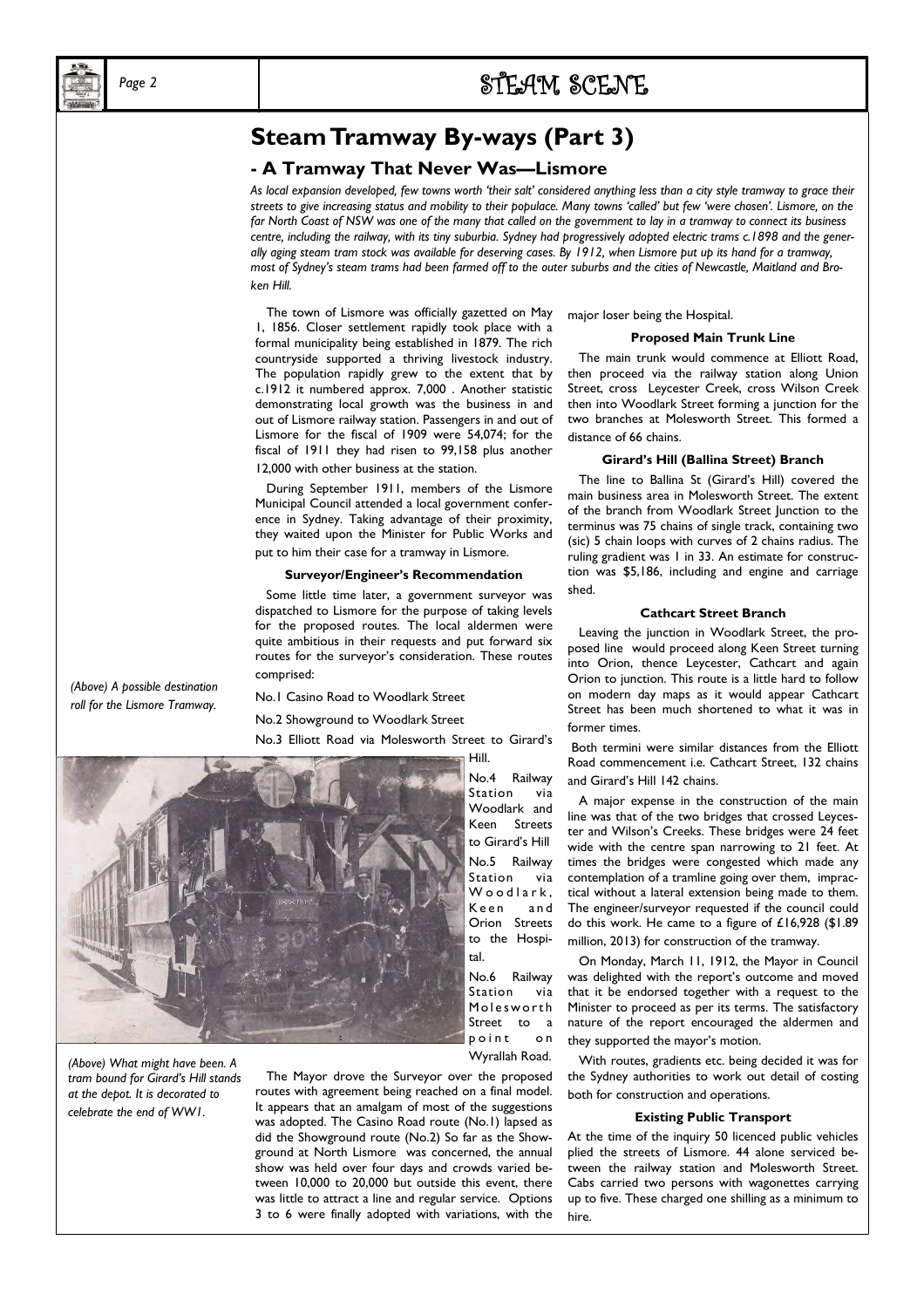## *Page 2* STEAM SCENE SCENE

## **Steam Tramway By-ways (Part 3)**

#### **- A Tramway That Never Was—Lismore**

*As local expansion developed, few towns worth 'their salt' considered anything less than a city style tramway to grace their streets to give increasing status and mobility to their populace. Many towns 'called' but few 'were chosen'. Lismore, on the far North Coast of NSW was one of the many that called on the government to lay in a tramway to connect its business centre, including the railway, with its tiny suburbia. Sydney had progressively adopted electric trams c.1898 and the generally aging steam tram stock was available for deserving cases. By 1912, when Lismore put up its hand for a tramway, most of Sydney's steam trams had been farmed off to the outer suburbs and the cities of Newcastle, Maitland and Broken Hill.* 

 The town of Lismore was officially gazetted on May 1, 1856. Closer settlement rapidly took place with a formal municipality being established in 1879. The rich countryside supported a thriving livestock industry. The population rapidly grew to the extent that by c.1912 it numbered approx. 7,000 . Another statistic demonstrating local growth was the business in and out of Lismore railway station. Passengers in and out of Lismore for the fiscal of 1909 were 54,074; for the fiscal of 1911 they had risen to 99,158 plus another 12.000 with other business at the station.

 During September 1911, members of the Lismore Municipal Council attended a local government conference in Sydney. Taking advantage of their proximity, they waited upon the Minister for Public Works and put to him their case for a tramway in Lismore.

#### **Surveyor/Engineer's Recommendation**

 Some little time later, a government surveyor was dispatched to Lismore for the purpose of taking levels for the proposed routes. The local aldermen were quite ambitious in their requests and put forward six routes for the surveyor's consideration. These routes comprised:

No.1 Casino Road to Woodlark Street

No.2 Showground to Woodlark Street

No.3 Elliott Road via Molesworth Street to Girard's

Hill.

No.4 Railway Station via Woodlark and Keen Streets to Girard's Hill No.5 Railway Station via Woodlark, Keen and Orion Streets to the Hospital.

No.6 Railway Station via Molesworth Street to a point on Wyrallah Road.

 The Mayor drove the Surveyor over the proposed routes with agreement being reached on a final model. It appears that an amalgam of most of the suggestions was adopted. The Casino Road route (No.1) lapsed as did the Showground route (No.2) So far as the Showground at North Lismore was concerned, the annual show was held over four days and crowds varied between 10,000 to 20,000 but outside this event, there was little to attract a line and regular service. Options 3 to 6 were finally adopted with variations, with the major loser being the Hospital.

#### **Proposed Main Trunk Line**

 The main trunk would commence at Elliott Road, then proceed via the railway station along Union Street, cross Leycester Creek, cross Wilson Creek then into Woodlark Street forming a junction for the two branches at Molesworth Street. This formed a distance of 66 chains.

#### **Girard's Hill (Ballina Street) Branch**

 The line to Ballina St (Girard's Hill) covered the main business area in Molesworth Street. The extent of the branch from Woodlark Street Junction to the terminus was 75 chains of single track, containing two (sic) 5 chain loops with curves of 2 chains radius. The ruling gradient was 1 in 33. An estimate for construction was \$5,186, including and engine and carriage shed.

#### **Cathcart Street Branch**

 Leaving the junction in Woodlark Street, the proposed line would proceed along Keen Street turning into Orion, thence Leycester, Cathcart and again Orion to junction. This route is a little hard to follow on modern day maps as it would appear Cathcart Street has been much shortened to what it was in former times.

 Both termini were similar distances from the Elliott Road commencement i.e. Cathcart Street, 132 chains and Girard's Hill 142 chains.

 A major expense in the construction of the main line was that of the two bridges that crossed Leycester and Wilson's Creeks. These bridges were 24 feet wide with the centre span narrowing to 21 feet. At times the bridges were congested which made any contemplation of a tramline going over them, impractical without a lateral extension being made to them. The engineer/surveyor requested if the council could do this work. He came to a figure of £16,928 (\$1.89 million, 2013) for construction of the tramway.

 On Monday, March 11, 1912, the Mayor in Council was delighted with the report's outcome and moved that it be endorsed together with a request to the Minister to proceed as per its terms. The satisfactory nature of the report encouraged the aldermen and they supported the mayor's motion.

 With routes, gradients etc. being decided it was for the Sydney authorities to work out detail of costing both for construction and operations.

#### **Existing Public Transport**

At the time of the inquiry 50 licenced public vehicles plied the streets of Lismore. 44 alone serviced between the railway station and Molesworth Street. Cabs carried two persons with wagonettes carrying up to five. These charged one shilling as a minimum to hire.

*(Above) A possible destination roll for the Lismore Tramway.* 



*(Above) What might have been. A tram bound for Girard's Hill stands at the depot. It is decorated to celebrate the end of WW1.*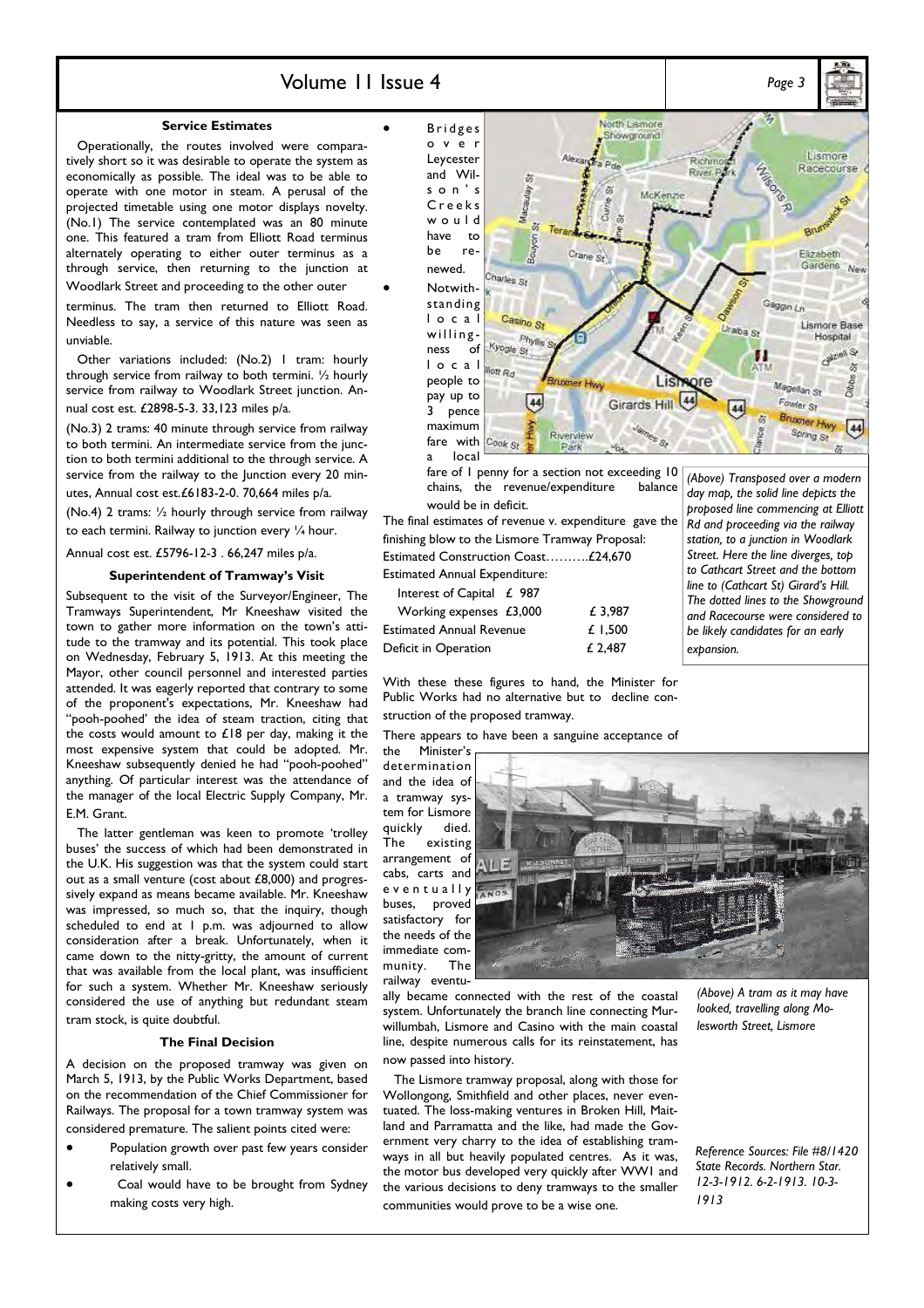### Volume 11 Issue 4 *Page 3*

#### **Service Estimates**

 Operationally, the routes involved were comparatively short so it was desirable to operate the system as economically as possible. The ideal was to be able to operate with one motor in steam. A perusal of the projected timetable using one motor displays novelty. (No.1) The service contemplated was an 80 minute one. This featured a tram from Elliott Road terminus alternately operating to either outer terminus as a through service, then returning to the junction at Woodlark Street and proceeding to the other outer

terminus. The tram then returned to Elliott Road. Needless to say, a service of this nature was seen as unviable.

 Other variations included: (No.2) 1 tram: hourly through service from railway to both termini. ½ hourly service from railway to Woodlark Street junction. Annual cost est. £2898-5-3. 33,123 miles p/a.

(No.3) 2 trams: 40 minute through service from railway to both termini. An intermediate service from the junction to both termini additional to the through service. A service from the railway to the Junction every 20 minutes, Annual cost est.£6183-2-0. 70,664 miles p/a.

(No.4) 2 trams: ½ hourly through service from railway to each termini. Railway to junction every 1/4 hour.

Annual cost est. £5796-12-3 . 66,247 miles p/a.

#### **Superintendent of Tramway's Visit**

Subsequent to the visit of the Surveyor/Engineer, The Tramways Superintendent, Mr Kneeshaw visited the town to gather more information on the town's attitude to the tramway and its potential. This took place on Wednesday, February 5, 1913. At this meeting the Mayor, other council personnel and interested parties attended. It was eagerly reported that contrary to some of the proponent's expectations, Mr. Kneeshaw had "pooh-poohed' the idea of steam traction, citing that the costs would amount to  $£18$  per day, making it the most expensive system that could be adopted. Mr. Kneeshaw subsequently denied he had "pooh-poohed" anything. Of particular interest was the attendance of the manager of the local Electric Supply Company, Mr. E.M. Grant.

 The latter gentleman was keen to promote 'trolley buses' the success of which had been demonstrated in the U.K. His suggestion was that the system could start out as a small venture (cost about £8,000) and progressively expand as means became available. Mr. Kneeshaw was impressed, so much so, that the inquiry, though scheduled to end at 1 p.m. was adjourned to allow consideration after a break. Unfortunately, when it came down to the nitty-gritty, the amount of current that was available from the local plant, was insufficient for such a system. Whether Mr. Kneeshaw seriously considered the use of anything but redundant steam tram stock, is quite doubtful.

#### **The Final Decision**

A decision on the proposed tramway was given on March 5, 1913, by the Public Works Department, based on the recommendation of the Chief Commissioner for Railways. The proposal for a town tramway system was considered premature. The salient points cited were:

- Population growth over past few years consider relatively small.
- Coal would have to be brought from Sydney making costs very high.

2, North Lismore Showground Lismore Richn  $\mathcal{F}_{BPM}$ Racecourse River<sub>P</sub> 窃 Macaulay<sub>S</sub>  $\overline{\mathbb{Z}}$ McKenzi G. Currin ٠B  $\sim$ Brunsy à Bouyon Elizabeth Crane St Gardens Na Charles St Gaggin <sub>Ln</sub> Casino St Lismore Base Uraba St willing-<br>ness of  $\frac{p_h}{k}$ Phyllis Hospital **Striet St** П l o c a l à Magellan St pay up to  $[44]$ 44 Girards Hill Fowler St 3 pence Bruxner Hwy maximum 44 Spring St fare with Cook St Park local

fare of I penny for a section not exceeding 10<br>chains, the revenue/expenditure balance chains, the revenue/expenditure would be in deficit.

The final estimates of revenue v. expenditure gave the finishing blow to the Lismore Tramway Proposal: Estimated Construction Coast……….£24,670 Estimated Annual Expenditure:

Interest of Capital £ 987

| $m$ applied $n \leq 70$         |         |
|---------------------------------|---------|
| Working expenses $£3,000$       | £ 3.987 |
| <b>Estimated Annual Revenue</b> | £ 1.500 |
| Deficit in Operation            | £ 2,487 |

*(Above) Transposed over a modern day map, the solid line depicts the proposed line commencing at Elliott Rd and proceeding via the railway station, to a junction in Woodlark Street. Here the line diverges, top to Cathcart Street and the bottom line to (Cathcart St) Girard's Hill. The dotted lines to the Showground and Racecourse were considered to be likely candidates for an early expansion.* 

With these these figures to hand, the Minister for Public Works had no alternative but to decline construction of the proposed tramway.

There appears to have been a sanguine acceptance of

the Minister's determination and the idea of a tramway system for Lismore quickly died. The existing arrangement of cabs, carts and e v e n t u a l l y <sub>ANOS</sub> buses, proved satisfactory for the needs of the immediate community. The railway eventu-



ally became connected with the rest of the coastal system. Unfortunately the branch line connecting Murwillumbah, Lismore and Casino with the main coastal line, despite numerous calls for its reinstatement, has now passed into history.

 The Lismore tramway proposal, along with those for Wollongong, Smithfield and other places, never eventuated. The loss-making ventures in Broken Hill, Maitland and Parramatta and the like, had made the Government very charry to the idea of establishing tramways in all but heavily populated centres. As it was, the motor bus developed very quickly after WW1 and the various decisions to deny tramways to the smaller communities would prove to be a wise one.

*(Above) A tram as it may have looked, travelling along Molesworth Street, Lismore* 

*Reference Sources: File #8/1420 State Records. Northern Star. 12-3-1912. 6-2-1913. 10-3- 1913* 

• B r i d g e s o v e r Leycester and Wils o n ' s C r e e k s w o u l d have to be renewed. • Notwithstanding l o c a l ness of people to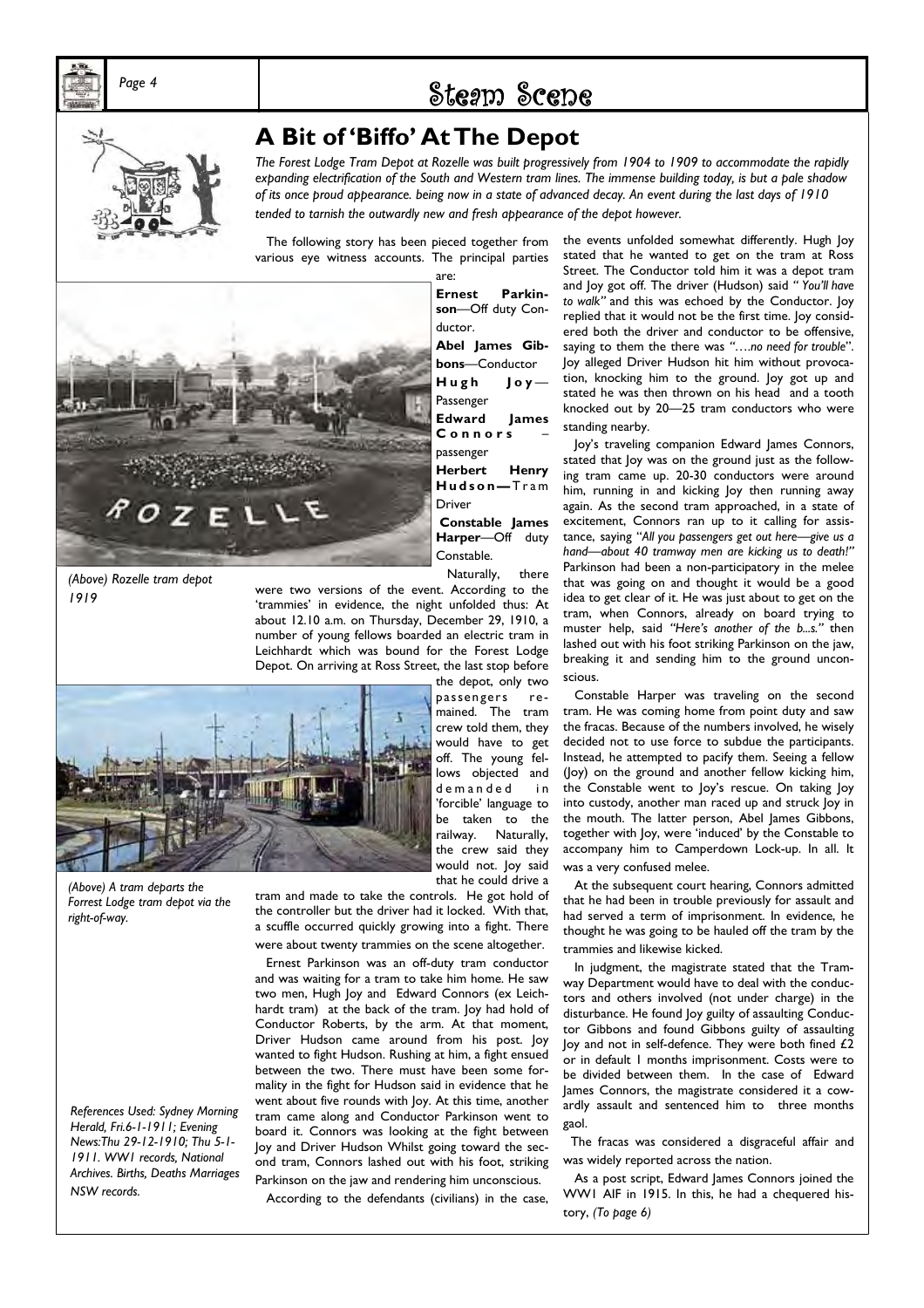

## Page 4 **Steam Scene**



## **A Bit of 'Biffo' At The Depot**

*The Forest Lodge Tram Depot at Rozelle was built progressively from 1904 to 1909 to accommodate the rapidly expanding electrification of the South and Western tram lines. The immense building today, is but a pale shadow of its once proud appearance. being now in a state of advanced decay. An event during the last days of 1910*  tended to tarnish the outwardly new and fresh appearance of the depot however.

 The following story has been pieced together from various eye witness accounts. The principal parties



*(Above) Rozelle tram depot 1919*

are: **Ernest Parkinson**—Off duty Conductor. **Abel James Gibbons**—Conductor **H u g h J o y** — Passenger **Edward James C o n n o r s** – passenger **Herbert Henry H u d s o n —** T r a m Driver **Constable James Harper**—Off duty Constable.

Naturally, there

passengers remained. The tram crew told them, they would have to get off. The young fel-

were two versions of the event. According to the 'trammies' in evidence, the night unfolded thus: At about 12.10 a.m. on Thursday, December 29, 1910, a number of young fellows boarded an electric tram in Leichhardt which was bound for the Forest Lodge Depot. On arriving at Ross Street, the last stop before the depot, only two



lows objected and demanded in 'forcible' language to be taken to the railway. Naturally, the crew said they would not. Joy said that he could drive a

*(Above) A tram departs the Forrest Lodge tram depot via the right-of-way.* 

*References Used: Sydney Morning Herald, Fri.6-1-1911; Evening News:Thu 29-12-1910; Thu 5-1- 1911. WW1 records, National Archives. Births, Deaths Marriages NSW records.* 

tram and made to take the controls. He got hold of the controller but the driver had it locked. With that, a scuffle occurred quickly growing into a fight. There were about twenty trammies on the scene altogether.

 Ernest Parkinson was an off-duty tram conductor and was waiting for a tram to take him home. He saw two men, Hugh Joy and Edward Connors (ex Leichhardt tram) at the back of the tram. Joy had hold of Conductor Roberts, by the arm. At that moment, Driver Hudson came around from his post. Joy wanted to fight Hudson. Rushing at him, a fight ensued between the two. There must have been some formality in the fight for Hudson said in evidence that he went about five rounds with Joy. At this time, another tram came along and Conductor Parkinson went to board it. Connors was looking at the fight between Joy and Driver Hudson Whilst going toward the second tram, Connors lashed out with his foot, striking Parkinson on the jaw and rendering him unconscious.

According to the defendants (civilians) in the case,

the events unfolded somewhat differently. Hugh Joy stated that he wanted to get on the tram at Ross Street. The Conductor told him it was a depot tram and Joy got off. The driver (Hudson) said *" You'll have to walk"* and this was echoed by the Conductor. Joy replied that it would not be the first time. Joy considered both the driver and conductor to be offensive, saying to them the there was *"….no need for trouble*". Joy alleged Driver Hudson hit him without provocation, knocking him to the ground. Joy got up and stated he was then thrown on his head and a tooth knocked out by 20—25 tram conductors who were standing nearby.

 Joy's traveling companion Edward James Connors, stated that Joy was on the ground just as the following tram came up. 20-30 conductors were around him, running in and kicking Joy then running away again. As the second tram approached, in a state of excitement, Connors ran up to it calling for assistance, saying "*All you passengers get out here—give us a hand—about 40 tramway men are kicking us to death!"* Parkinson had been a non-participatory in the melee that was going on and thought it would be a good idea to get clear of it. He was just about to get on the tram, when Connors, already on board trying to muster help, said *"Here's another of the b...s."* then lashed out with his foot striking Parkinson on the jaw, breaking it and sending him to the ground unconscious.

 Constable Harper was traveling on the second tram. He was coming home from point duty and saw the fracas. Because of the numbers involved, he wisely decided not to use force to subdue the participants. Instead, he attempted to pacify them. Seeing a fellow (Joy) on the ground and another fellow kicking him, the Constable went to Joy's rescue. On taking Joy into custody, another man raced up and struck Joy in the mouth. The latter person, Abel James Gibbons, together with Joy, were 'induced' by the Constable to accompany him to Camperdown Lock-up. In all. It was a very confused melee.

 At the subsequent court hearing, Connors admitted that he had been in trouble previously for assault and had served a term of imprisonment. In evidence, he thought he was going to be hauled off the tram by the trammies and likewise kicked.

 In judgment, the magistrate stated that the Tramway Department would have to deal with the conductors and others involved (not under charge) in the disturbance. He found Joy guilty of assaulting Conductor Gibbons and found Gibbons guilty of assaulting Joy and not in self-defence. They were both fined  $£2$ or in default 1 months imprisonment. Costs were to be divided between them. In the case of Edward James Connors, the magistrate considered it a cowardly assault and sentenced him to three months gaol.

 The fracas was considered a disgraceful affair and was widely reported across the nation.

 As a post script, Edward James Connors joined the WW1 AIF in 1915. In this, he had a chequered history, *(To page 6)*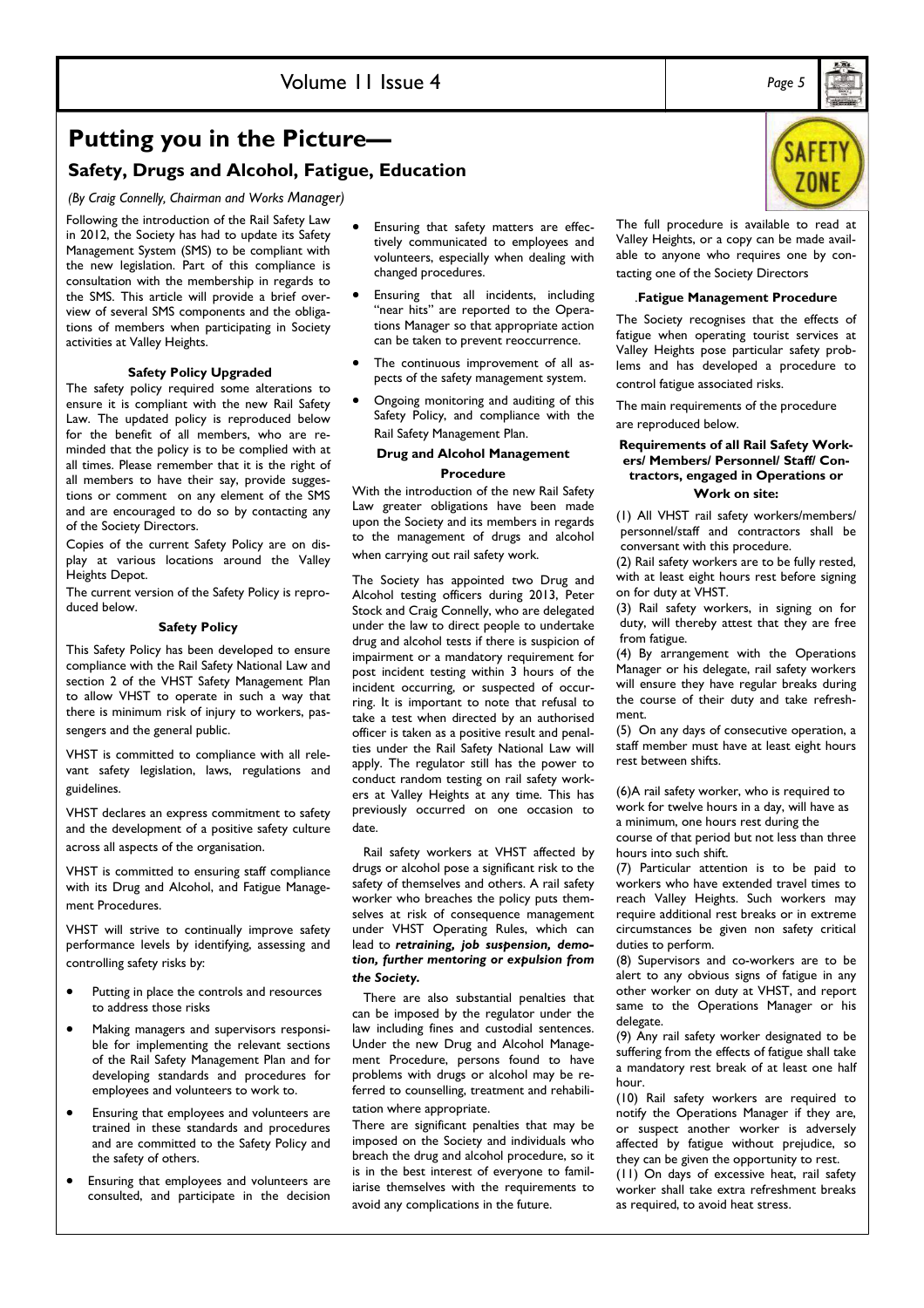## **Putting you in the Picture—**

### **Safety, Drugs and Alcohol, Fatigue, Education**

*(By Craig Connelly, Chairman and Works Manager)* 

Following the introduction of the Rail Safety Law in 2012, the Society has had to update its Safety Management System (SMS) to be compliant with the new legislation. Part of this compliance is consultation with the membership in regards to the SMS. This article will provide a brief overview of several SMS components and the obligations of members when participating in Society activities at Valley Heights.

#### **Safety Policy Upgraded**

The safety policy required some alterations to ensure it is compliant with the new Rail Safety Law. The updated policy is reproduced below for the benefit of all members, who are reminded that the policy is to be complied with at all times. Please remember that it is the right of all members to have their say, provide suggestions or comment on any element of the SMS and are encouraged to do so by contacting any of the Society Directors.

Copies of the current Safety Policy are on display at various locations around the Valley Heights Depot.

The current version of the Safety Policy is reproduced below.

#### **Safety Policy**

This Safety Policy has been developed to ensure compliance with the Rail Safety National Law and section 2 of the VHST Safety Management Plan to allow VHST to operate in such a way that there is minimum risk of injury to workers, passengers and the general public.

VHST is committed to compliance with all relevant safety legislation, laws, regulations and guidelines.

VHST declares an express commitment to safety and the development of a positive safety culture across all aspects of the organisation.

VHST is committed to ensuring staff compliance with its Drug and Alcohol, and Fatigue Management Procedures.

VHST will strive to continually improve safety performance levels by identifying, assessing and controlling safety risks by:

- Putting in place the controls and resources to address those risks
- Making managers and supervisors responsible for implementing the relevant sections of the Rail Safety Management Plan and for developing standards and procedures for employees and volunteers to work to.
- Ensuring that employees and volunteers are trained in these standards and procedures and are committed to the Safety Policy and the safety of others.
- Ensuring that employees and volunteers are consulted, and participate in the decision
- Ensuring that safety matters are effectively communicated to employees and volunteers, especially when dealing with changed procedures.
- Ensuring that all incidents, including "near hits" are reported to the Operations Manager so that appropriate action can be taken to prevent reoccurrence.
- The continuous improvement of all aspects of the safety management system.
- Ongoing monitoring and auditing of this Safety Policy, and compliance with the Rail Safety Management Plan.

#### **Drug and Alcohol Management Procedure**

With the introduction of the new Rail Safety Law greater obligations have been made upon the Society and its members in regards to the management of drugs and alcohol when carrying out rail safety work.

The Society has appointed two Drug and Alcohol testing officers during 2013, Peter Stock and Craig Connelly, who are delegated under the law to direct people to undertake drug and alcohol tests if there is suspicion of impairment or a mandatory requirement for post incident testing within 3 hours of the incident occurring, or suspected of occurring. It is important to note that refusal to take a test when directed by an authorised officer is taken as a positive result and penalties under the Rail Safety National Law will apply. The regulator still has the power to conduct random testing on rail safety workers at Valley Heights at any time. This has previously occurred on one occasion to date.

 Rail safety workers at VHST affected by drugs or alcohol pose a significant risk to the safety of themselves and others. A rail safety worker who breaches the policy puts themselves at risk of consequence management under VHST Operating Rules, which can lead to *retraining, job suspension, demotion, further mentoring or expulsion from the Society.* 

 There are also substantial penalties that can be imposed by the regulator under the law including fines and custodial sentences. Under the new Drug and Alcohol Management Procedure, persons found to have problems with drugs or alcohol may be referred to counselling, treatment and rehabilitation where appropriate.

There are significant penalties that may be imposed on the Society and individuals who breach the drug and alcohol procedure, so it is in the best interest of everyone to familiarise themselves with the requirements to avoid any complications in the future.

The full procedure is available to read at Valley Heights, or a copy can be made available to anyone who requires one by contacting one of the Society Directors

#### *.***Fatigue Management Procedure**

The Society recognises that the effects of fatigue when operating tourist services at Valley Heights pose particular safety problems and has developed a procedure to control fatigue associated risks.

The main requirements of the procedure are reproduced below.

#### **Requirements of all Rail Safety Workers/ Members/ Personnel/ Staff/ Contractors, engaged in Operations or Work on site:**

(1) All VHST rail safety workers/members/ personnel/staff and contractors shall be conversant with this procedure.

(2) Rail safety workers are to be fully rested, with at least eight hours rest before signing on for duty at VHST.

(3) Rail safety workers, in signing on for duty, will thereby attest that they are free from fatigue.

(4) By arrangement with the Operations Manager or his delegate, rail safety workers will ensure they have regular breaks during the course of their duty and take refreshment.

(5) On any days of consecutive operation, a staff member must have at least eight hours rest between shifts.

(6)A rail safety worker, who is required to work for twelve hours in a day, will have as

a minimum, one hours rest during the course of that period but not less than three hours into such shift.

(7) Particular attention is to be paid to workers who have extended travel times to reach Valley Heights. Such workers may require additional rest breaks or in extreme circumstances be given non safety critical duties to perform.

(8) Supervisors and co-workers are to be alert to any obvious signs of fatigue in any other worker on duty at VHST, and report same to the Operations Manager or his delegate.

(9) Any rail safety worker designated to be suffering from the effects of fatigue shall take a mandatory rest break of at least one half hour.

(10) Rail safety workers are required to notify the Operations Manager if they are, or suspect another worker is adversely affected by fatigue without prejudice, so they can be given the opportunity to rest.

(11) On days of excessive heat, rail safety worker shall take extra refreshment breaks as required, to avoid heat stress.